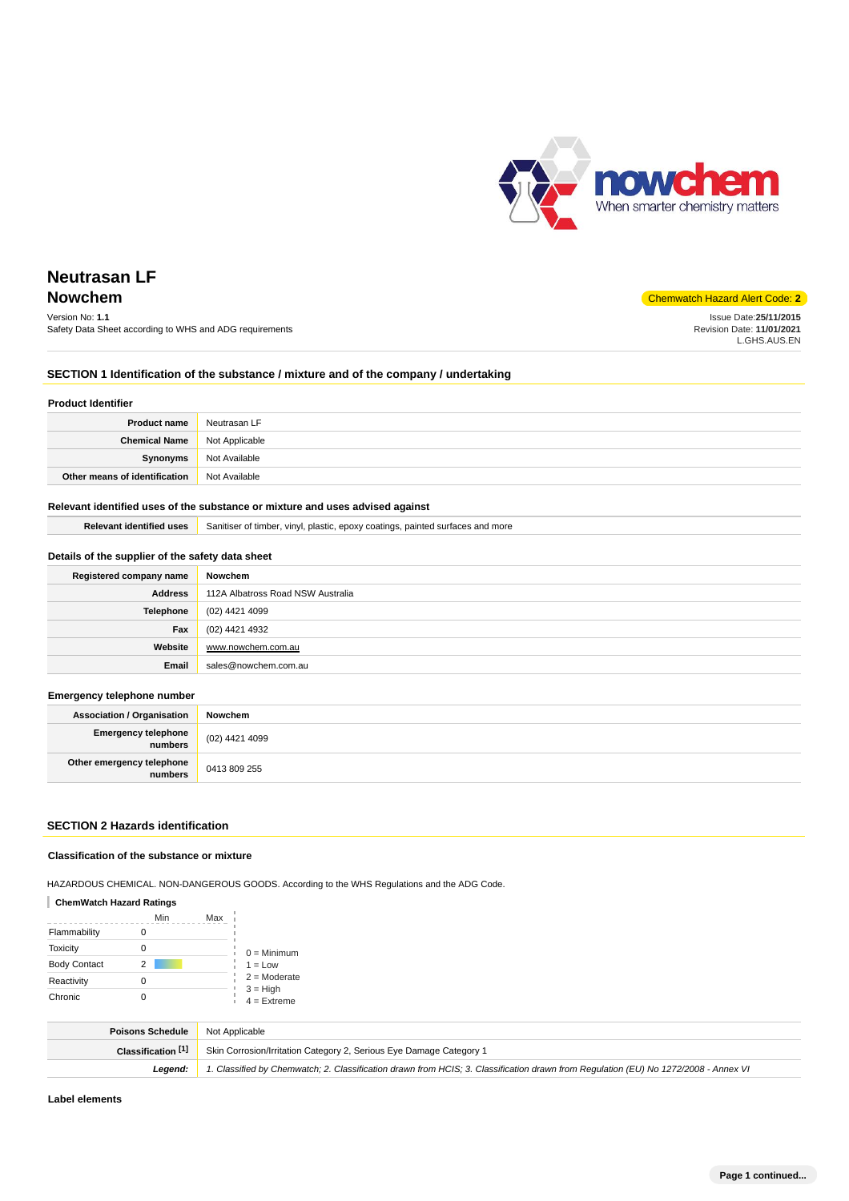

**Nowchem** Chemwatch Hazard Alert Code: **2** Version No: **1.1** Safety Data Sheet according to WHS and ADG requirements Issue Date:**25/11/2015** Revision Date: **11/01/2021** L.GHS.AUS.EN

# **SECTION 1 Identification of the substance / mixture and of the company / undertaking**

#### **Product Identifier**

| <b>Product name</b>           | Neutrasan LF   |
|-------------------------------|----------------|
| <b>Chemical Name</b>          | Not Applicable |
| Synonyms                      | Not Available  |
| Other means of identification | Not Available  |

# **Relevant identified uses of the substance or mixture and uses advised against**

**Relevant identified uses** Sanitiser of timber, vinyl, plastic, epoxy coatings, painted surfaces and more

# **Details of the supplier of the safety data sheet**

| Registered company name | Nowchem                           |
|-------------------------|-----------------------------------|
| <b>Address</b>          | 112A Albatross Road NSW Australia |
| <b>Telephone</b>        | (02) 4421 4099                    |
| Fax                     | (02) 4421 4932                    |
| Website                 | www.nowchem.com.au                |
| Email                   | sales@nowchem.com.au              |

### **Emergency telephone number**

| <b>Association / Organisation</b>              | Nowchem          |
|------------------------------------------------|------------------|
| <b>Emergency telephone</b><br><b> </b> numbers | $(02)$ 4421 4099 |
| Other emergency telephone<br>numbers           | 0413 809 255     |

# **SECTION 2 Hazards identification**

# **Classification of the substance or mixture**

HAZARDOUS CHEMICAL. NON-DANGEROUS GOODS. According to the WHS Regulations and the ADG Code.

# **ChemWatch Hazard Ratings**

|                     | Min | Max |                                               |
|---------------------|-----|-----|-----------------------------------------------|
| Flammability        |     |     |                                               |
| <b>Toxicity</b>     |     |     | $0 =$ Minimum                                 |
| <b>Body Contact</b> | 2   |     | $1 = Low$                                     |
| Reactivity          |     |     | $2 =$ Moderate<br>$3 = High$<br>$4 =$ Extreme |
| Chronic             |     |     |                                               |

| <b>Poisons Schedule</b> | Not Applicable                                                                                                                      |
|-------------------------|-------------------------------------------------------------------------------------------------------------------------------------|
| Classification [1]      | Skin Corrosion/Irritation Category 2, Serious Eye Damage Category 1                                                                 |
| Leaend:                 | 1. Classified by Chemwatch; 2. Classification drawn from HCIS; 3. Classification drawn from Requlation (EU) No 1272/2008 - Annex VI |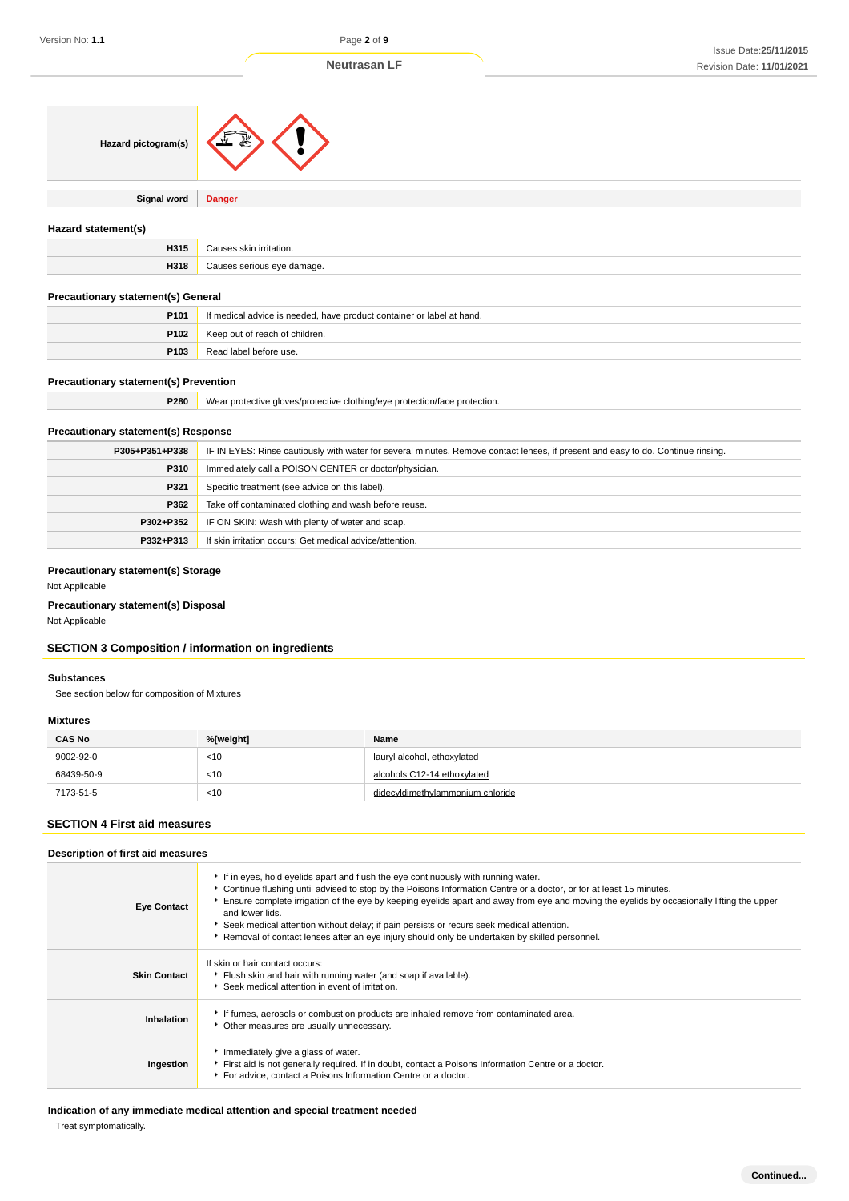| Hazard pictogram(s)                          |                                                                       |  |
|----------------------------------------------|-----------------------------------------------------------------------|--|
| <b>Signal word</b>                           | <b>Danger</b>                                                         |  |
| Hazard statement(s)                          |                                                                       |  |
| H315                                         | Causes skin irritation.                                               |  |
| H318                                         | Causes serious eye damage.                                            |  |
| Precautionary statement(s) General           |                                                                       |  |
| P101                                         | If medical advice is needed, have product container or label at hand. |  |
| P102                                         | Keep out of reach of children.                                        |  |
| P103                                         | Read label before use.                                                |  |
| <b>Precautionary statement(s) Prevention</b> |                                                                       |  |

| P280 | Wear protective gloves/protective clothing/eye protection/face protection. |
|------|----------------------------------------------------------------------------|
|      |                                                                            |

# **Precautionary statement(s) Response**

| P305+P351+P338 | IF IN EYES: Rinse cautiously with water for several minutes. Remove contact lenses, if present and easy to do. Continue rinsing. |  |
|----------------|----------------------------------------------------------------------------------------------------------------------------------|--|
| P310           | Immediately call a POISON CENTER or doctor/physician.                                                                            |  |
| P321           | Specific treatment (see advice on this label).                                                                                   |  |
| P362           | Take off contaminated clothing and wash before reuse.                                                                            |  |
| P302+P352      | IF ON SKIN: Wash with plenty of water and soap.                                                                                  |  |
| P332+P313      | If skin irritation occurs: Get medical advice/attention.                                                                         |  |

# **Precautionary statement(s) Storage**

Not Applicable

# **Precautionary statement(s) Disposal**

Not Applicable

# **SECTION 3 Composition / information on ingredients**

# **Substances**

See section below for composition of Mixtures

#### **Mixtures**

| <b>CAS No</b> | %[weight] | Name                             |
|---------------|-----------|----------------------------------|
| 9002-92-0     | $<$ 10    | lauryl alcohol, ethoxylated      |
| 68439-50-9    | < 10      | alcohols C12-14 ethoxylated      |
| 7173-51-5     | < 10      | didecyldimethylammonium chloride |

# **SECTION 4 First aid measures**

### **Description of first aid measures**

| <b>Eye Contact</b>  | If in eyes, hold eyelids apart and flush the eye continuously with running water.<br>► Continue flushing until advised to stop by the Poisons Information Centre or a doctor, or for at least 15 minutes.<br>Ensure complete irrigation of the eye by keeping eyelids apart and away from eye and moving the eyelids by occasionally lifting the upper<br>and lower lids.<br>Seek medical attention without delay; if pain persists or recurs seek medical attention.<br>Removal of contact lenses after an eye injury should only be undertaken by skilled personnel. |
|---------------------|------------------------------------------------------------------------------------------------------------------------------------------------------------------------------------------------------------------------------------------------------------------------------------------------------------------------------------------------------------------------------------------------------------------------------------------------------------------------------------------------------------------------------------------------------------------------|
| <b>Skin Contact</b> | If skin or hair contact occurs:<br>Flush skin and hair with running water (and soap if available).<br>Seek medical attention in event of irritation.                                                                                                                                                                                                                                                                                                                                                                                                                   |
| Inhalation          | If fumes, aerosols or combustion products are inhaled remove from contaminated area.<br>Other measures are usually unnecessary.                                                                                                                                                                                                                                                                                                                                                                                                                                        |
| Ingestion           | Immediately give a glass of water.<br>First aid is not generally required. If in doubt, contact a Poisons Information Centre or a doctor.<br>For advice, contact a Poisons Information Centre or a doctor.                                                                                                                                                                                                                                                                                                                                                             |

**Indication of any immediate medical attention and special treatment needed**

Treat symptomatically.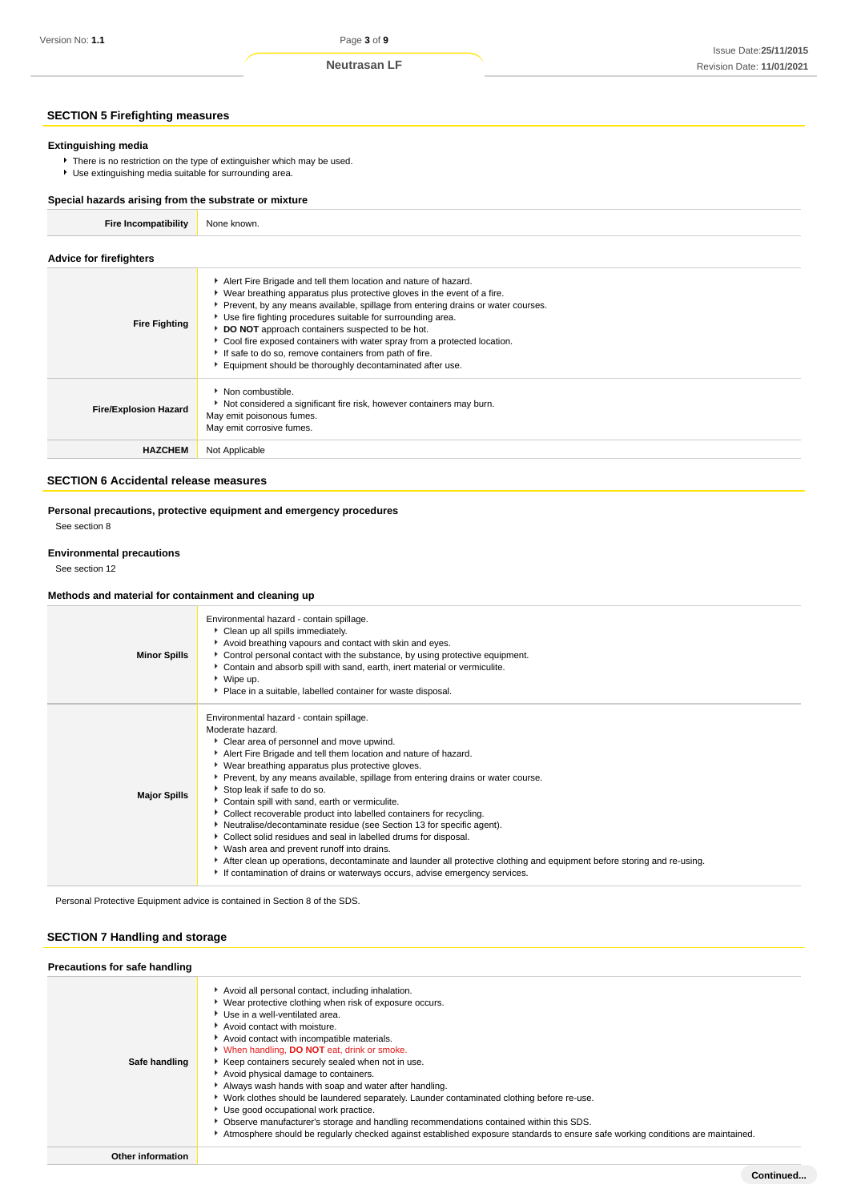# **SECTION 5 Firefighting measures**

# **Extinguishing media**

There is no restriction on the type of extinguisher which may be used. Use extinguishing media suitable for surrounding area.

#### **Special hazards arising from the substrate or mixture**

| <b>Fire Incompatibility</b> | None known. |
|-----------------------------|-------------|

# **Advice for firefighters**

| <b>Fire Fighting</b>         | Alert Fire Brigade and tell them location and nature of hazard.<br>• Wear breathing apparatus plus protective gloves in the event of a fire.<br>▶ Prevent, by any means available, spillage from entering drains or water courses.<br>• Use fire fighting procedures suitable for surrounding area.<br>DO NOT approach containers suspected to be hot.<br>Cool fire exposed containers with water spray from a protected location.<br>If safe to do so, remove containers from path of fire.<br>Equipment should be thoroughly decontaminated after use. |
|------------------------------|----------------------------------------------------------------------------------------------------------------------------------------------------------------------------------------------------------------------------------------------------------------------------------------------------------------------------------------------------------------------------------------------------------------------------------------------------------------------------------------------------------------------------------------------------------|
| <b>Fire/Explosion Hazard</b> | Non combustible.<br>Not considered a significant fire risk, however containers may burn.<br>May emit poisonous fumes.<br>May emit corrosive fumes.                                                                                                                                                                                                                                                                                                                                                                                                       |
| <b>HAZCHEM</b>               | Not Applicable                                                                                                                                                                                                                                                                                                                                                                                                                                                                                                                                           |
|                              |                                                                                                                                                                                                                                                                                                                                                                                                                                                                                                                                                          |

# **SECTION 6 Accidental release measures**

# **Personal precautions, protective equipment and emergency procedures**

See section 8

# **Environmental precautions**

See section 12

#### **Methods and material for containment and cleaning up**

| <b>Minor Spills</b> | Environmental hazard - contain spillage.<br>Clean up all spills immediately.<br>Avoid breathing vapours and contact with skin and eyes.<br>▶ Control personal contact with the substance, by using protective equipment.<br>Contain and absorb spill with sand, earth, inert material or vermiculite.<br>▶ Wipe up.<br>Place in a suitable, labelled container for waste disposal.                                                                                                                                                                                                                                                                                                                                                                                                                                                                                                 |
|---------------------|------------------------------------------------------------------------------------------------------------------------------------------------------------------------------------------------------------------------------------------------------------------------------------------------------------------------------------------------------------------------------------------------------------------------------------------------------------------------------------------------------------------------------------------------------------------------------------------------------------------------------------------------------------------------------------------------------------------------------------------------------------------------------------------------------------------------------------------------------------------------------------|
| <b>Major Spills</b> | Environmental hazard - contain spillage.<br>Moderate hazard.<br>Clear area of personnel and move upwind.<br>Alert Fire Brigade and tell them location and nature of hazard.<br>▶ Wear breathing apparatus plus protective gloves.<br>▶ Prevent, by any means available, spillage from entering drains or water course.<br>Stop leak if safe to do so.<br>Contain spill with sand, earth or vermiculite.<br>Collect recoverable product into labelled containers for recycling.<br>Neutralise/decontaminate residue (see Section 13 for specific agent).<br>Collect solid residues and seal in labelled drums for disposal.<br>▶ Wash area and prevent runoff into drains.<br>After clean up operations, decontaminate and launder all protective clothing and equipment before storing and re-using.<br>If contamination of drains or waterways occurs, advise emergency services. |

Personal Protective Equipment advice is contained in Section 8 of the SDS.

# **SECTION 7 Handling and storage**

# **Precautions for safe handling**

| <b>FIGUALIONS TO SAIG HANGING</b> |                                                                                                                                                                                                                                                                                                                                                                                                                                                                                                                                                                                                                                                                                                                                                                                                                     |
|-----------------------------------|---------------------------------------------------------------------------------------------------------------------------------------------------------------------------------------------------------------------------------------------------------------------------------------------------------------------------------------------------------------------------------------------------------------------------------------------------------------------------------------------------------------------------------------------------------------------------------------------------------------------------------------------------------------------------------------------------------------------------------------------------------------------------------------------------------------------|
| Safe handling                     | Avoid all personal contact, including inhalation.<br>• Wear protective clothing when risk of exposure occurs.<br>▶ Use in a well-ventilated area.<br>Avoid contact with moisture.<br>Avoid contact with incompatible materials.<br>V When handling, <b>DO NOT</b> eat, drink or smoke.<br>Keep containers securely sealed when not in use.<br>Avoid physical damage to containers.<br>Always wash hands with soap and water after handling.<br>• Work clothes should be laundered separately. Launder contaminated clothing before re-use.<br>▶ Use good occupational work practice.<br>• Observe manufacturer's storage and handling recommendations contained within this SDS.<br>Atmosphere should be regularly checked against established exposure standards to ensure safe working conditions are maintained. |
| Other information                 |                                                                                                                                                                                                                                                                                                                                                                                                                                                                                                                                                                                                                                                                                                                                                                                                                     |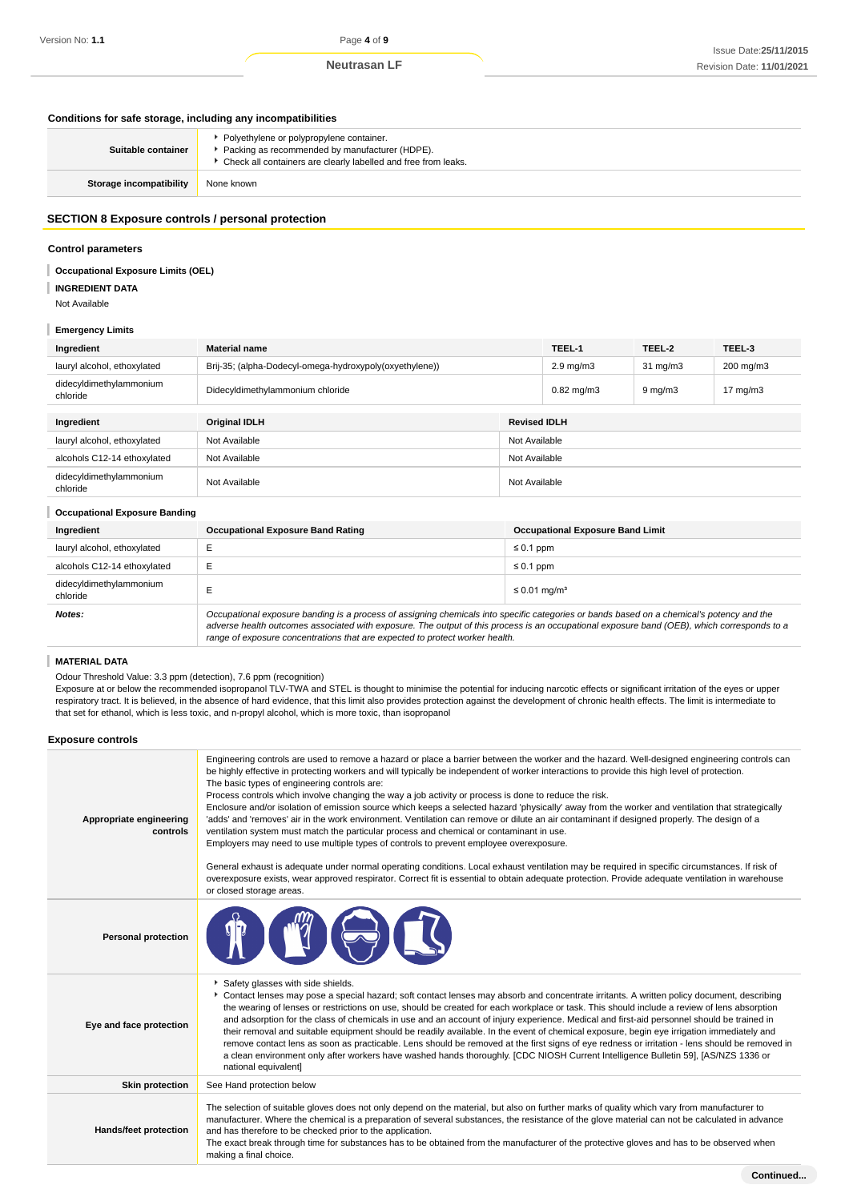# **Conditions for safe storage, including any incompatibilities**

| Suitable container      | Polyethylene or polypropylene container.<br>Packing as recommended by manufacturer (HDPE).<br>Check all containers are clearly labelled and free from leaks. |
|-------------------------|--------------------------------------------------------------------------------------------------------------------------------------------------------------|
| Storage incompatibility | None known                                                                                                                                                   |

### **SECTION 8 Exposure controls / personal protection**

### **Control parameters**

**Occupational Exposure Limits (OEL)**

- **INGREDIENT DATA**
- Not Available

# **Emergency Limits**

| Ingredient                          | <b>Material name</b>                                    |                     | TEEL-1          | TEEL-2              | TEEL-3            |
|-------------------------------------|---------------------------------------------------------|---------------------|-----------------|---------------------|-------------------|
| lauryl alcohol, ethoxylated         | Brij-35; (alpha-Dodecyl-omega-hydroxypoly(oxyethylene)) | $2.9 \text{ mg/m}3$ |                 | $31 \text{ mg/m}$   | 200 mg/m3         |
| didecyldimethylammonium<br>chloride | Didecyldimethylammonium chloride                        |                     | $0.82$ mg/m $3$ | $9 \,\mathrm{mg/m}$ | $17 \text{ mg/m}$ |
|                                     | <b>Revised IDLH</b>                                     |                     |                 |                     |                   |
| Ingredient                          | <b>Original IDLH</b>                                    |                     |                 |                     |                   |
| lauryl alcohol, ethoxylated         | Not Available                                           | Not Available       |                 |                     |                   |
| alcohols C12-14 ethoxylated         | Not Available                                           | Not Available       |                 |                     |                   |
| didecyldimethylammonium<br>chloride | Not Available                                           | Not Available       |                 |                     |                   |
|                                     |                                                         |                     |                 |                     |                   |

#### **Occupational Exposure Banding**

| Ingredient                          | <b>Occupational Exposure Band Rating</b>                                                                                                                                                                                                                                                                                                                                 | <b>Occupational Exposure Band Limit</b> |  |
|-------------------------------------|--------------------------------------------------------------------------------------------------------------------------------------------------------------------------------------------------------------------------------------------------------------------------------------------------------------------------------------------------------------------------|-----------------------------------------|--|
| lauryl alcohol, ethoxylated         |                                                                                                                                                                                                                                                                                                                                                                          | $\leq 0.1$ ppm                          |  |
| alcohols C12-14 ethoxylated         | ᆮ<br>⊢                                                                                                                                                                                                                                                                                                                                                                   | $\leq 0.1$ ppm                          |  |
| didecyldimethylammonium<br>chloride |                                                                                                                                                                                                                                                                                                                                                                          | $\leq$ 0.01 mg/m <sup>3</sup>           |  |
| Notes:                              | Occupational exposure banding is a process of assigning chemicals into specific categories or bands based on a chemical's potency and the<br>adverse health outcomes associated with exposure. The output of this process is an occupational exposure band (OEB), which corresponds to a<br>range of exposure concentrations that are expected to protect worker health. |                                         |  |

# **MATERIAL DATA**

Odour Threshold Value: 3.3 ppm (detection), 7.6 ppm (recognition)

Exposure at or below the recommended isopropanol TLV-TWA and STEL is thought to minimise the potential for inducing narcotic effects or significant irritation of the eyes or upper respiratory tract. It is believed, in the absence of hard evidence, that this limit also provides protection against the development of chronic health effects. The limit is intermediate to that set for ethanol, which is less toxic, and n-propyl alcohol, which is more toxic, than isopropanol

#### **Exposure controls**

| Appropriate engineering<br>controls | Engineering controls are used to remove a hazard or place a barrier between the worker and the hazard. Well-designed engineering controls can<br>be highly effective in protecting workers and will typically be independent of worker interactions to provide this high level of protection.<br>The basic types of engineering controls are:<br>Process controls which involve changing the way a job activity or process is done to reduce the risk.<br>Enclosure and/or isolation of emission source which keeps a selected hazard 'physically' away from the worker and ventilation that strategically<br>'adds' and 'removes' air in the work environment. Ventilation can remove or dilute an air contaminant if designed properly. The design of a<br>ventilation system must match the particular process and chemical or contaminant in use.<br>Employers may need to use multiple types of controls to prevent employee overexposure.<br>General exhaust is adequate under normal operating conditions. Local exhaust ventilation may be required in specific circumstances. If risk of<br>overexposure exists, wear approved respirator. Correct fit is essential to obtain adequate protection. Provide adequate ventilation in warehouse<br>or closed storage areas. |
|-------------------------------------|-----------------------------------------------------------------------------------------------------------------------------------------------------------------------------------------------------------------------------------------------------------------------------------------------------------------------------------------------------------------------------------------------------------------------------------------------------------------------------------------------------------------------------------------------------------------------------------------------------------------------------------------------------------------------------------------------------------------------------------------------------------------------------------------------------------------------------------------------------------------------------------------------------------------------------------------------------------------------------------------------------------------------------------------------------------------------------------------------------------------------------------------------------------------------------------------------------------------------------------------------------------------------------------|
| <b>Personal protection</b>          |                                                                                                                                                                                                                                                                                                                                                                                                                                                                                                                                                                                                                                                                                                                                                                                                                                                                                                                                                                                                                                                                                                                                                                                                                                                                                   |
| Eye and face protection             | Safety glasses with side shields.<br>Contact lenses may pose a special hazard; soft contact lenses may absorb and concentrate irritants. A written policy document, describing<br>the wearing of lenses or restrictions on use, should be created for each workplace or task. This should include a review of lens absorption<br>and adsorption for the class of chemicals in use and an account of injury experience. Medical and first-aid personnel should be trained in<br>their removal and suitable equipment should be readily available. In the event of chemical exposure, begin eye irrigation immediately and<br>remove contact lens as soon as practicable. Lens should be removed at the first signs of eye redness or irritation - lens should be removed in<br>a clean environment only after workers have washed hands thoroughly. [CDC NIOSH Current Intelligence Bulletin 59], [AS/NZS 1336 or<br>national equivalent]                                                                                                                                                                                                                                                                                                                                          |
| <b>Skin protection</b>              | See Hand protection below                                                                                                                                                                                                                                                                                                                                                                                                                                                                                                                                                                                                                                                                                                                                                                                                                                                                                                                                                                                                                                                                                                                                                                                                                                                         |
| Hands/feet protection               | The selection of suitable gloves does not only depend on the material, but also on further marks of quality which vary from manufacturer to<br>manufacturer. Where the chemical is a preparation of several substances, the resistance of the glove material can not be calculated in advance<br>and has therefore to be checked prior to the application.<br>The exact break through time for substances has to be obtained from the manufacturer of the protective gloves and has to be observed when<br>making a final choice.                                                                                                                                                                                                                                                                                                                                                                                                                                                                                                                                                                                                                                                                                                                                                 |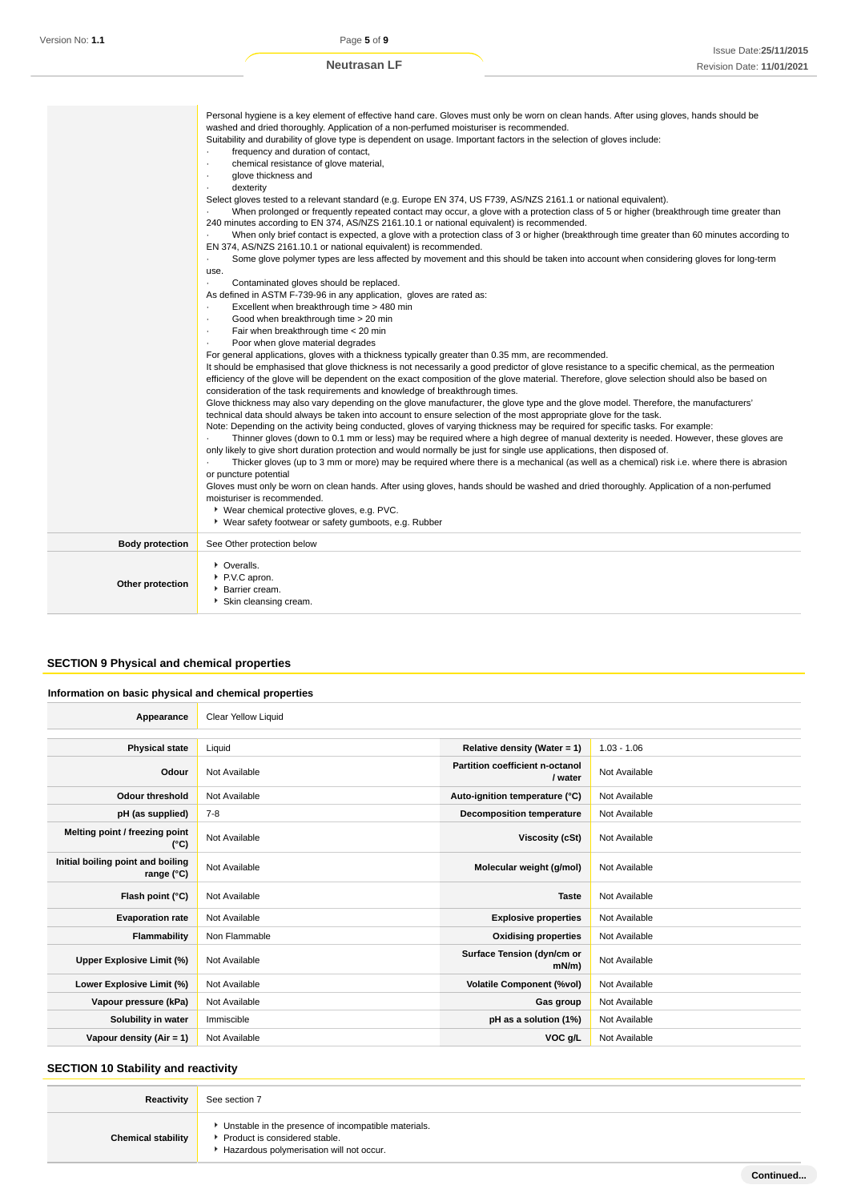|                        | Personal hygiene is a key element of effective hand care. Gloves must only be worn on clean hands. After using gloves, hands should be                           |
|------------------------|------------------------------------------------------------------------------------------------------------------------------------------------------------------|
|                        | washed and dried thoroughly. Application of a non-perfumed moisturiser is recommended.                                                                           |
|                        | Suitability and durability of glove type is dependent on usage. Important factors in the selection of gloves include:                                            |
|                        | frequency and duration of contact,<br>٠                                                                                                                          |
|                        | chemical resistance of glove material,<br>$\cdot$                                                                                                                |
|                        | glove thickness and<br>٠                                                                                                                                         |
|                        | dexterity                                                                                                                                                        |
|                        | Select gloves tested to a relevant standard (e.g. Europe EN 374, US F739, AS/NZS 2161.1 or national equivalent).                                                 |
|                        | When prolonged or frequently repeated contact may occur, a glove with a protection class of 5 or higher (breakthrough time greater than                          |
|                        | 240 minutes according to EN 374, AS/NZS 2161.10.1 or national equivalent) is recommended.                                                                        |
|                        | When only brief contact is expected, a glove with a protection class of 3 or higher (breakthrough time greater than 60 minutes according to                      |
|                        | EN 374, AS/NZS 2161.10.1 or national equivalent) is recommended.                                                                                                 |
|                        | Some glove polymer types are less affected by movement and this should be taken into account when considering gloves for long-term<br>$\blacksquare$             |
|                        | use.                                                                                                                                                             |
|                        | Contaminated gloves should be replaced.                                                                                                                          |
|                        | As defined in ASTM F-739-96 in any application, gloves are rated as:                                                                                             |
|                        | Excellent when breakthrough time > 480 min<br>٠                                                                                                                  |
|                        | Good when breakthrough time > 20 min                                                                                                                             |
|                        | Fair when breakthrough time < 20 min<br>$\cdot$                                                                                                                  |
|                        | Poor when glove material degrades<br>$\cdot$                                                                                                                     |
|                        | For general applications, gloves with a thickness typically greater than 0.35 mm, are recommended.                                                               |
|                        | It should be emphasised that glove thickness is not necessarily a good predictor of glove resistance to a specific chemical, as the permeation                   |
|                        | efficiency of the glove will be dependent on the exact composition of the glove material. Therefore, glove selection should also be based on                     |
|                        | consideration of the task requirements and knowledge of breakthrough times.                                                                                      |
|                        | Glove thickness may also vary depending on the glove manufacturer, the glove type and the glove model. Therefore, the manufacturers'                             |
|                        | technical data should always be taken into account to ensure selection of the most appropriate glove for the task.                                               |
|                        | Note: Depending on the activity being conducted, gloves of varying thickness may be required for specific tasks. For example:                                    |
|                        | Thinner gloves (down to 0.1 mm or less) may be required where a high degree of manual dexterity is needed. However, these gloves are                             |
|                        | only likely to give short duration protection and would normally be just for single use applications, then disposed of.                                          |
|                        | Thicker gloves (up to 3 mm or more) may be required where there is a mechanical (as well as a chemical) risk i.e. where there is abrasion                        |
|                        | or puncture potential<br>Gloves must only be worn on clean hands. After using gloves, hands should be washed and dried thoroughly. Application of a non-perfumed |
|                        | moisturiser is recommended.                                                                                                                                      |
|                        | ▶ Wear chemical protective gloves, e.g. PVC.                                                                                                                     |
|                        | • Wear safety footwear or safety gumboots, e.g. Rubber                                                                                                           |
|                        |                                                                                                                                                                  |
| <b>Body protection</b> | See Other protection below                                                                                                                                       |
|                        | • Overalls.                                                                                                                                                      |
|                        | P.V.C apron.                                                                                                                                                     |
| Other protection       | Barrier cream.                                                                                                                                                   |
|                        | Skin cleansing cream.                                                                                                                                            |
|                        |                                                                                                                                                                  |

# **SECTION 9 Physical and chemical properties**

# **Information on basic physical and chemical properties**

| Appearance                                      | Clear Yellow Liquid |                                            |               |
|-------------------------------------------------|---------------------|--------------------------------------------|---------------|
|                                                 |                     |                                            |               |
| <b>Physical state</b>                           | Liquid              | Relative density (Water = $1$ )            | $1.03 - 1.06$ |
| Odour                                           | Not Available       | Partition coefficient n-octanol<br>/ water | Not Available |
| <b>Odour threshold</b>                          | Not Available       | Auto-ignition temperature (°C)             | Not Available |
| pH (as supplied)                                | $7-8$               | <b>Decomposition temperature</b>           | Not Available |
| Melting point / freezing point<br>(°C)          | Not Available       | Viscosity (cSt)                            | Not Available |
| Initial boiling point and boiling<br>range (°C) | Not Available       | Molecular weight (g/mol)                   | Not Available |
| Flash point (°C)                                | Not Available       | <b>Taste</b>                               | Not Available |
| <b>Evaporation rate</b>                         | Not Available       | <b>Explosive properties</b>                | Not Available |
| Flammability                                    | Non Flammable       | <b>Oxidising properties</b>                | Not Available |
| Upper Explosive Limit (%)                       | Not Available       | Surface Tension (dyn/cm or<br>$mN/m$ )     | Not Available |
| Lower Explosive Limit (%)                       | Not Available       | <b>Volatile Component (%vol)</b>           | Not Available |
| Vapour pressure (kPa)                           | Not Available       | Gas group                                  | Not Available |
| Solubility in water                             | Immiscible          | pH as a solution (1%)                      | Not Available |
| Vapour density (Air = $1$ )                     | Not Available       | VOC g/L                                    | Not Available |

# **SECTION 10 Stability and reactivity**

| <b>Reactivity</b>         | See section 7                                                                                                                      |
|---------------------------|------------------------------------------------------------------------------------------------------------------------------------|
| <b>Chemical stability</b> | Unstable in the presence of incompatible materials.<br>▶ Product is considered stable.<br>Hazardous polymerisation will not occur. |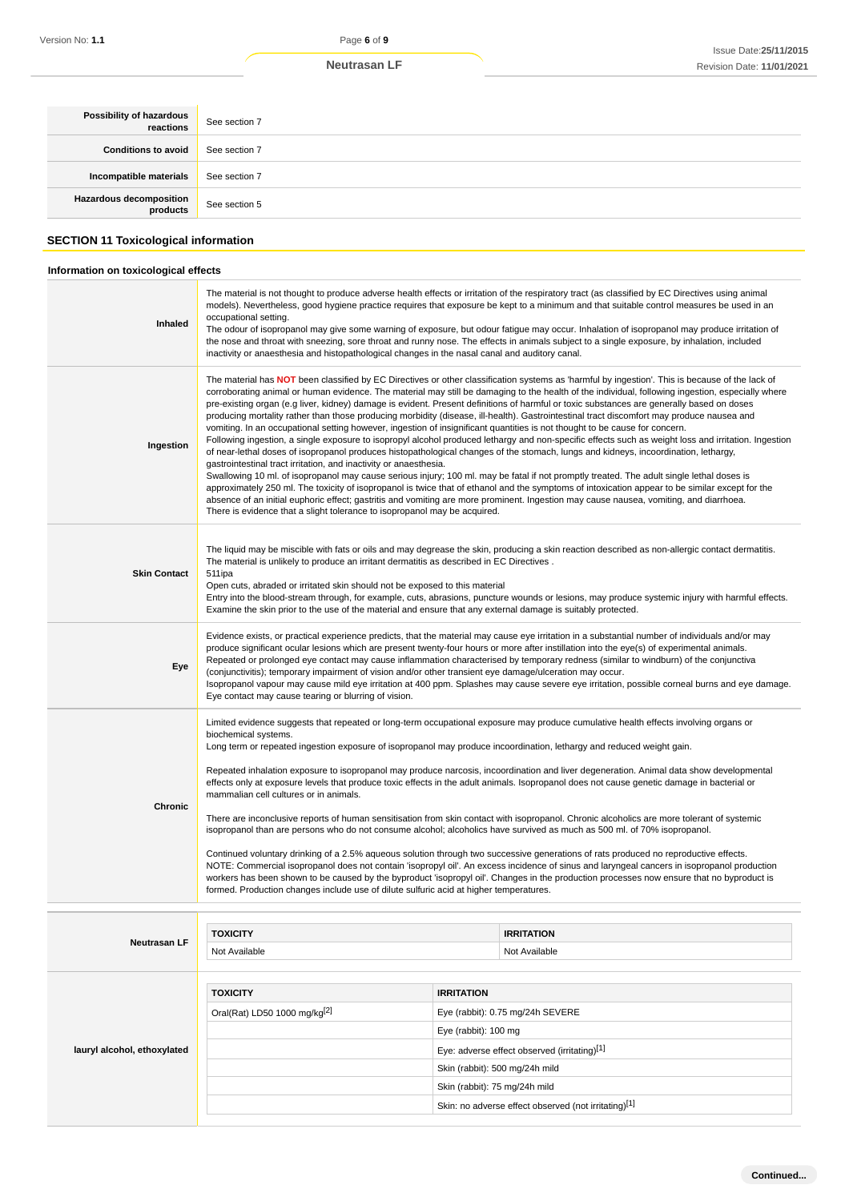| Possibility of hazardous<br>reactions | See section 7 |
|---------------------------------------|---------------|
| <b>Conditions to avoid</b>            | See section 7 |
| Incompatible materials                | See section 7 |
| Hazardous decomposition<br>products   | See section 5 |

# **SECTION 11 Toxicological information**

# **Information on toxicological effects**

|                                            | <b>Neutrasan LF</b>                                                                                                                                                                                                                                                                                                                                                                                                                                                                                                                                                                                                                                                                                                                                                                                                                                                                                                                                                                                                                                                                                                                                                                                                                                                                                                                                                                                                                                                                                                                                                                                                      |                                              | Issue Date: 25/11/20<br>Revision Date: 11/01/202                                                                                                                                                                                                                                                                                                                                                                                                                                                                                                                                              |
|--------------------------------------------|--------------------------------------------------------------------------------------------------------------------------------------------------------------------------------------------------------------------------------------------------------------------------------------------------------------------------------------------------------------------------------------------------------------------------------------------------------------------------------------------------------------------------------------------------------------------------------------------------------------------------------------------------------------------------------------------------------------------------------------------------------------------------------------------------------------------------------------------------------------------------------------------------------------------------------------------------------------------------------------------------------------------------------------------------------------------------------------------------------------------------------------------------------------------------------------------------------------------------------------------------------------------------------------------------------------------------------------------------------------------------------------------------------------------------------------------------------------------------------------------------------------------------------------------------------------------------------------------------------------------------|----------------------------------------------|-----------------------------------------------------------------------------------------------------------------------------------------------------------------------------------------------------------------------------------------------------------------------------------------------------------------------------------------------------------------------------------------------------------------------------------------------------------------------------------------------------------------------------------------------------------------------------------------------|
|                                            |                                                                                                                                                                                                                                                                                                                                                                                                                                                                                                                                                                                                                                                                                                                                                                                                                                                                                                                                                                                                                                                                                                                                                                                                                                                                                                                                                                                                                                                                                                                                                                                                                          |                                              |                                                                                                                                                                                                                                                                                                                                                                                                                                                                                                                                                                                               |
| Possibility of hazardous<br>reactions      | See section 7                                                                                                                                                                                                                                                                                                                                                                                                                                                                                                                                                                                                                                                                                                                                                                                                                                                                                                                                                                                                                                                                                                                                                                                                                                                                                                                                                                                                                                                                                                                                                                                                            |                                              |                                                                                                                                                                                                                                                                                                                                                                                                                                                                                                                                                                                               |
| <b>Conditions to avoid</b>                 | See section 7                                                                                                                                                                                                                                                                                                                                                                                                                                                                                                                                                                                                                                                                                                                                                                                                                                                                                                                                                                                                                                                                                                                                                                                                                                                                                                                                                                                                                                                                                                                                                                                                            |                                              |                                                                                                                                                                                                                                                                                                                                                                                                                                                                                                                                                                                               |
| Incompatible materials                     | See section 7                                                                                                                                                                                                                                                                                                                                                                                                                                                                                                                                                                                                                                                                                                                                                                                                                                                                                                                                                                                                                                                                                                                                                                                                                                                                                                                                                                                                                                                                                                                                                                                                            |                                              |                                                                                                                                                                                                                                                                                                                                                                                                                                                                                                                                                                                               |
| <b>Hazardous decomposition</b><br>products | See section 5                                                                                                                                                                                                                                                                                                                                                                                                                                                                                                                                                                                                                                                                                                                                                                                                                                                                                                                                                                                                                                                                                                                                                                                                                                                                                                                                                                                                                                                                                                                                                                                                            |                                              |                                                                                                                                                                                                                                                                                                                                                                                                                                                                                                                                                                                               |
| SECTION 11 Toxicological information       |                                                                                                                                                                                                                                                                                                                                                                                                                                                                                                                                                                                                                                                                                                                                                                                                                                                                                                                                                                                                                                                                                                                                                                                                                                                                                                                                                                                                                                                                                                                                                                                                                          |                                              |                                                                                                                                                                                                                                                                                                                                                                                                                                                                                                                                                                                               |
| Information on toxicological effects       |                                                                                                                                                                                                                                                                                                                                                                                                                                                                                                                                                                                                                                                                                                                                                                                                                                                                                                                                                                                                                                                                                                                                                                                                                                                                                                                                                                                                                                                                                                                                                                                                                          |                                              |                                                                                                                                                                                                                                                                                                                                                                                                                                                                                                                                                                                               |
| Inhaled                                    | occupational setting.<br>inactivity or anaesthesia and histopathological changes in the nasal canal and auditory canal.                                                                                                                                                                                                                                                                                                                                                                                                                                                                                                                                                                                                                                                                                                                                                                                                                                                                                                                                                                                                                                                                                                                                                                                                                                                                                                                                                                                                                                                                                                  |                                              | The material is not thought to produce adverse health effects or irritation of the respiratory tract (as classified by EC Directives using animal<br>models). Nevertheless, good hygiene practice requires that exposure be kept to a minimum and that suitable control measures be used in an<br>The odour of isopropanol may give some warning of exposure, but odour fatigue may occur. Inhalation of isopropanol may produce irritation of<br>the nose and throat with sneezing, sore throat and runny nose. The effects in animals subject to a single exposure, by inhalation, included |
| Ingestion                                  | The material has NOT been classified by EC Directives or other classification systems as 'harmful by ingestion'. This is because of the lack of<br>corroborating animal or human evidence. The material may still be damaging to the health of the individual, following ingestion, especially where<br>pre-existing organ (e.g liver, kidney) damage is evident. Present definitions of harmful or toxic substances are generally based on doses<br>producing mortality rather than those producing morbidity (disease, ill-health). Gastrointestinal tract discomfort may produce nausea and<br>vomiting. In an occupational setting however, ingestion of insignificant quantities is not thought to be cause for concern.<br>Following ingestion, a single exposure to isopropyl alcohol produced lethargy and non-specific effects such as weight loss and irritation. Ingestion<br>of near-lethal doses of isopropanol produces histopathological changes of the stomach, lungs and kidneys, incoordination, lethargy,<br>gastrointestinal tract irritation, and inactivity or anaesthesia.<br>Swallowing 10 ml. of isopropanol may cause serious injury; 100 ml. may be fatal if not promptly treated. The adult single lethal doses is<br>approximately 250 ml. The toxicity of isopropanol is twice that of ethanol and the symptoms of intoxication appear to be similar except for the<br>absence of an initial euphoric effect; gastritis and vomiting are more prominent. Ingestion may cause nausea, vomiting, and diarrhoea.<br>There is evidence that a slight tolerance to isopropanol may be acquired. |                                              |                                                                                                                                                                                                                                                                                                                                                                                                                                                                                                                                                                                               |
| <b>Skin Contact</b>                        | The liquid may be miscible with fats or oils and may degrease the skin, producing a skin reaction described as non-allergic contact dermatitis.<br>The material is unlikely to produce an irritant dermatitis as described in EC Directives.<br>511ipa<br>Open cuts, abraded or irritated skin should not be exposed to this material<br>Entry into the blood-stream through, for example, cuts, abrasions, puncture wounds or lesions, may produce systemic injury with harmful effects.<br>Examine the skin prior to the use of the material and ensure that any external damage is suitably protected.                                                                                                                                                                                                                                                                                                                                                                                                                                                                                                                                                                                                                                                                                                                                                                                                                                                                                                                                                                                                                |                                              |                                                                                                                                                                                                                                                                                                                                                                                                                                                                                                                                                                                               |
| Eye                                        | Evidence exists, or practical experience predicts, that the material may cause eye irritation in a substantial number of individuals and/or may<br>produce significant ocular lesions which are present twenty-four hours or more after instillation into the eye(s) of experimental animals.<br>Repeated or prolonged eye contact may cause inflammation characterised by temporary redness (similar to windburn) of the conjunctiva<br>(conjunctivitis); temporary impairment of vision and/or other transient eye damage/ulceration may occur.<br>Isopropanol vapour may cause mild eye irritation at 400 ppm. Splashes may cause severe eye irritation, possible corneal burns and eye damage.<br>Eye contact may cause tearing or blurring of vision.                                                                                                                                                                                                                                                                                                                                                                                                                                                                                                                                                                                                                                                                                                                                                                                                                                                               |                                              |                                                                                                                                                                                                                                                                                                                                                                                                                                                                                                                                                                                               |
| Chronic                                    | Limited evidence suggests that repeated or long-term occupational exposure may produce cumulative health effects involving organs or<br>biochemical systems.<br>Long term or repeated ingestion exposure of isopropanol may produce incoordination, lethargy and reduced weight gain.<br>Repeated inhalation exposure to isopropanol may produce narcosis, incoordination and liver degeneration. Animal data show developmental<br>effects only at exposure levels that produce toxic effects in the adult animals. Isopropanol does not cause genetic damage in bacterial or<br>mammalian cell cultures or in animals.<br>There are inconclusive reports of human sensitisation from skin contact with isopropanol. Chronic alcoholics are more tolerant of systemic<br>isopropanol than are persons who do not consume alcohol; alcoholics have survived as much as 500 ml. of 70% isopropanol.<br>Continued voluntary drinking of a 2.5% aqueous solution through two successive generations of rats produced no reproductive effects.<br>NOTE: Commercial isopropanol does not contain 'isopropyl oil'. An excess incidence of sinus and laryngeal cancers in isopropanol production<br>workers has been shown to be caused by the byproduct 'isopropyl oil'. Changes in the production processes now ensure that no byproduct is<br>formed. Production changes include use of dilute sulfuric acid at higher temperatures.                                                                                                                                                                                         |                                              |                                                                                                                                                                                                                                                                                                                                                                                                                                                                                                                                                                                               |
|                                            | <b>TOXICITY</b>                                                                                                                                                                                                                                                                                                                                                                                                                                                                                                                                                                                                                                                                                                                                                                                                                                                                                                                                                                                                                                                                                                                                                                                                                                                                                                                                                                                                                                                                                                                                                                                                          | <b>IRRITATION</b>                            |                                                                                                                                                                                                                                                                                                                                                                                                                                                                                                                                                                                               |
| Neutrasan LF                               | Not Available                                                                                                                                                                                                                                                                                                                                                                                                                                                                                                                                                                                                                                                                                                                                                                                                                                                                                                                                                                                                                                                                                                                                                                                                                                                                                                                                                                                                                                                                                                                                                                                                            | Not Available                                |                                                                                                                                                                                                                                                                                                                                                                                                                                                                                                                                                                                               |
|                                            |                                                                                                                                                                                                                                                                                                                                                                                                                                                                                                                                                                                                                                                                                                                                                                                                                                                                                                                                                                                                                                                                                                                                                                                                                                                                                                                                                                                                                                                                                                                                                                                                                          |                                              |                                                                                                                                                                                                                                                                                                                                                                                                                                                                                                                                                                                               |
|                                            | <b>TOXICITY</b>                                                                                                                                                                                                                                                                                                                                                                                                                                                                                                                                                                                                                                                                                                                                                                                                                                                                                                                                                                                                                                                                                                                                                                                                                                                                                                                                                                                                                                                                                                                                                                                                          | <b>IRRITATION</b>                            |                                                                                                                                                                                                                                                                                                                                                                                                                                                                                                                                                                                               |
|                                            | Oral(Rat) LD50 1000 mg/kg <sup>[2]</sup>                                                                                                                                                                                                                                                                                                                                                                                                                                                                                                                                                                                                                                                                                                                                                                                                                                                                                                                                                                                                                                                                                                                                                                                                                                                                                                                                                                                                                                                                                                                                                                                 | Eye (rabbit): 0.75 mg/24h SEVERE             |                                                                                                                                                                                                                                                                                                                                                                                                                                                                                                                                                                                               |
|                                            |                                                                                                                                                                                                                                                                                                                                                                                                                                                                                                                                                                                                                                                                                                                                                                                                                                                                                                                                                                                                                                                                                                                                                                                                                                                                                                                                                                                                                                                                                                                                                                                                                          | Eye (rabbit): 100 mg                         |                                                                                                                                                                                                                                                                                                                                                                                                                                                                                                                                                                                               |
| lauryl alcohol, ethoxylated                |                                                                                                                                                                                                                                                                                                                                                                                                                                                                                                                                                                                                                                                                                                                                                                                                                                                                                                                                                                                                                                                                                                                                                                                                                                                                                                                                                                                                                                                                                                                                                                                                                          | Eye: adverse effect observed (irritating)[1] |                                                                                                                                                                                                                                                                                                                                                                                                                                                                                                                                                                                               |
|                                            |                                                                                                                                                                                                                                                                                                                                                                                                                                                                                                                                                                                                                                                                                                                                                                                                                                                                                                                                                                                                                                                                                                                                                                                                                                                                                                                                                                                                                                                                                                                                                                                                                          | Skin (rabbit): 500 mg/24h mild               |                                                                                                                                                                                                                                                                                                                                                                                                                                                                                                                                                                                               |
|                                            |                                                                                                                                                                                                                                                                                                                                                                                                                                                                                                                                                                                                                                                                                                                                                                                                                                                                                                                                                                                                                                                                                                                                                                                                                                                                                                                                                                                                                                                                                                                                                                                                                          | Skin (rabbit): 75 mg/24h mild                |                                                                                                                                                                                                                                                                                                                                                                                                                                                                                                                                                                                               |
|                                            |                                                                                                                                                                                                                                                                                                                                                                                                                                                                                                                                                                                                                                                                                                                                                                                                                                                                                                                                                                                                                                                                                                                                                                                                                                                                                                                                                                                                                                                                                                                                                                                                                          |                                              |                                                                                                                                                                                                                                                                                                                                                                                                                                                                                                                                                                                               |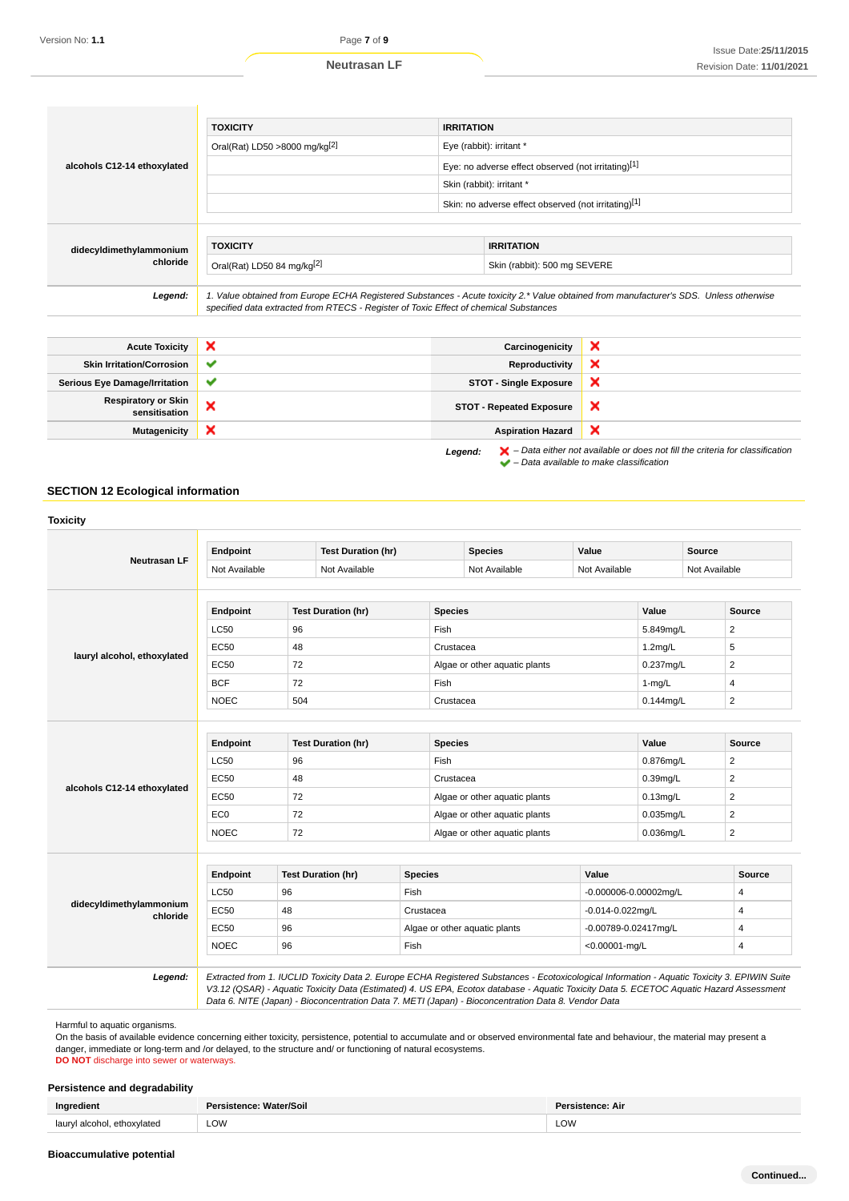|                                     | <b>TOXICITY</b>                                                                       | <b>IRRITATION</b>                                    |                                                                                                                                        |  |
|-------------------------------------|---------------------------------------------------------------------------------------|------------------------------------------------------|----------------------------------------------------------------------------------------------------------------------------------------|--|
| alcohols C12-14 ethoxylated         | Oral(Rat) LD50 >8000 mg/kg[2]                                                         | Eye (rabbit): irritant *                             |                                                                                                                                        |  |
|                                     |                                                                                       | Eye: no adverse effect observed (not irritating)[1]  |                                                                                                                                        |  |
|                                     |                                                                                       | Skin (rabbit): irritant *                            |                                                                                                                                        |  |
|                                     |                                                                                       | Skin: no adverse effect observed (not irritating)[1] |                                                                                                                                        |  |
|                                     |                                                                                       |                                                      |                                                                                                                                        |  |
| didecyldimethylammonium<br>chloride | <b>TOXICITY</b>                                                                       |                                                      | <b>IRRITATION</b>                                                                                                                      |  |
|                                     | Oral(Rat) LD50 84 mg/kg[2]                                                            |                                                      | Skin (rabbit): 500 mg SEVERE                                                                                                           |  |
|                                     |                                                                                       |                                                      |                                                                                                                                        |  |
| Legend:                             | specified data extracted from RTECS - Register of Toxic Effect of chemical Substances |                                                      | 1. Value obtained from Europe ECHA Registered Substances - Acute toxicity 2.* Value obtained from manufacturer's SDS. Unless otherwise |  |

| <b>Acute Toxicity</b>                       | $\boldsymbol{\mathsf{x}}$ | Carcinogenicity                 | ×                                                                                                                                                                   |
|---------------------------------------------|---------------------------|---------------------------------|---------------------------------------------------------------------------------------------------------------------------------------------------------------------|
| <b>Skin Irritation/Corrosion</b>            | $\checkmark$              | Reproductivity                  | ×                                                                                                                                                                   |
| <b>Serious Eye Damage/Irritation</b>        | $\checkmark$              | <b>STOT - Single Exposure</b>   | ×                                                                                                                                                                   |
| <b>Respiratory or Skin</b><br>sensitisation | ×                         | <b>STOT - Repeated Exposure</b> | ×                                                                                                                                                                   |
| <b>Mutagenicity</b>                         | ×                         | <b>Aspiration Hazard</b>        | ×                                                                                                                                                                   |
|                                             |                           | Legend:                         | $\blacktriangleright$ - Data either not available or does not fill the criteria for classification<br>$\blacktriangleright$ – Data available to make classification |

# **SECTION 12 Ecological information**

| <b>Neutrasan LF</b>                 | Endpoint                       | <b>Test Duration (hr)</b> |                                            | <b>Species</b>                | Value                                         |                                | <b>Source</b>  |
|-------------------------------------|--------------------------------|---------------------------|--------------------------------------------|-------------------------------|-----------------------------------------------|--------------------------------|----------------|
|                                     | Not Available<br>Not Available |                           |                                            | Not Available                 |                                               | Not Available<br>Not Available |                |
|                                     | Endpoint                       | <b>Test Duration (hr)</b> |                                            | <b>Species</b>                |                                               | Value                          | Source         |
|                                     | <b>LC50</b>                    | 96                        | Fish                                       |                               |                                               | 5.849mg/L                      | $\overline{2}$ |
|                                     | <b>EC50</b>                    | 48                        |                                            | Crustacea                     |                                               | $1.2$ mg/L                     | 5              |
| lauryl alcohol, ethoxylated         | EC50                           | 72                        |                                            | Algae or other aquatic plants |                                               | 0.237mg/L                      | $\overline{2}$ |
|                                     | <b>BCF</b>                     | 72                        | Fish                                       |                               |                                               | $1-mq/L$                       | 4              |
|                                     | <b>NOEC</b>                    | 504                       |                                            | Crustacea                     |                                               | $0.144$ mg/L                   | $\overline{2}$ |
|                                     |                                |                           |                                            |                               |                                               |                                |                |
|                                     | Endpoint                       | <b>Test Duration (hr)</b> |                                            | <b>Species</b>                |                                               | Value                          | <b>Source</b>  |
|                                     | <b>LC50</b>                    | 96                        | Fish                                       |                               | 0.876mg/L                                     |                                | $\overline{2}$ |
|                                     | <b>EC50</b>                    | 48                        |                                            | Crustacea                     |                                               | $0.39$ mg/L                    | 2              |
| alcohols C12-14 ethoxylated         | <b>EC50</b>                    | 72                        |                                            | Algae or other aquatic plants |                                               | $0.13$ mg/L                    | $\overline{2}$ |
|                                     | EC <sub>0</sub>                | 72                        |                                            | Algae or other aquatic plants |                                               | $0.035$ mg/L                   | $\overline{2}$ |
|                                     | <b>NOEC</b>                    | 72                        |                                            | Algae or other aquatic plants |                                               | $0.036$ mg/L                   | $\overline{2}$ |
|                                     | Endpoint                       | <b>Test Duration (hr)</b> | <b>Species</b>                             |                               | Value                                         |                                | <b>Source</b>  |
|                                     | <b>LC50</b>                    | 96                        | <b>Fish</b>                                |                               |                                               |                                | $\overline{4}$ |
| didecyldimethylammonium<br>chloride | EC50                           | 48                        |                                            |                               | -0.000006-0.00002mg/L                         |                                | 4              |
|                                     | <b>EC50</b>                    | 96                        | Crustacea<br>Algae or other aquatic plants |                               | $-0.014 - 0.022$ mg/L<br>-0.00789-0.02417mg/L |                                | $\overline{4}$ |
|                                     | <b>NOEC</b>                    | 96                        | <b>Fish</b>                                |                               | $<$ 0.00001-mg/L                              |                                | $\overline{4}$ |
|                                     |                                |                           |                                            |                               |                                               |                                |                |

Harmful to aquatic organisms.

On the basis of available evidence concerning either toxicity, persistence, potential to accumulate and or observed environmental fate and behaviour, the material may present a danger, immediate or long-term and /or delayed, to the structure and/ or functioning of natural ecosystems.

**DO NOT** discharge into sewer or waterways.

#### **Persistence and degradability**

|                               | Persistence: Water/Soil | stence: Air |
|-------------------------------|-------------------------|-------------|
| laurul alcohol<br>ethoxvlated | LOW                     | LOW         |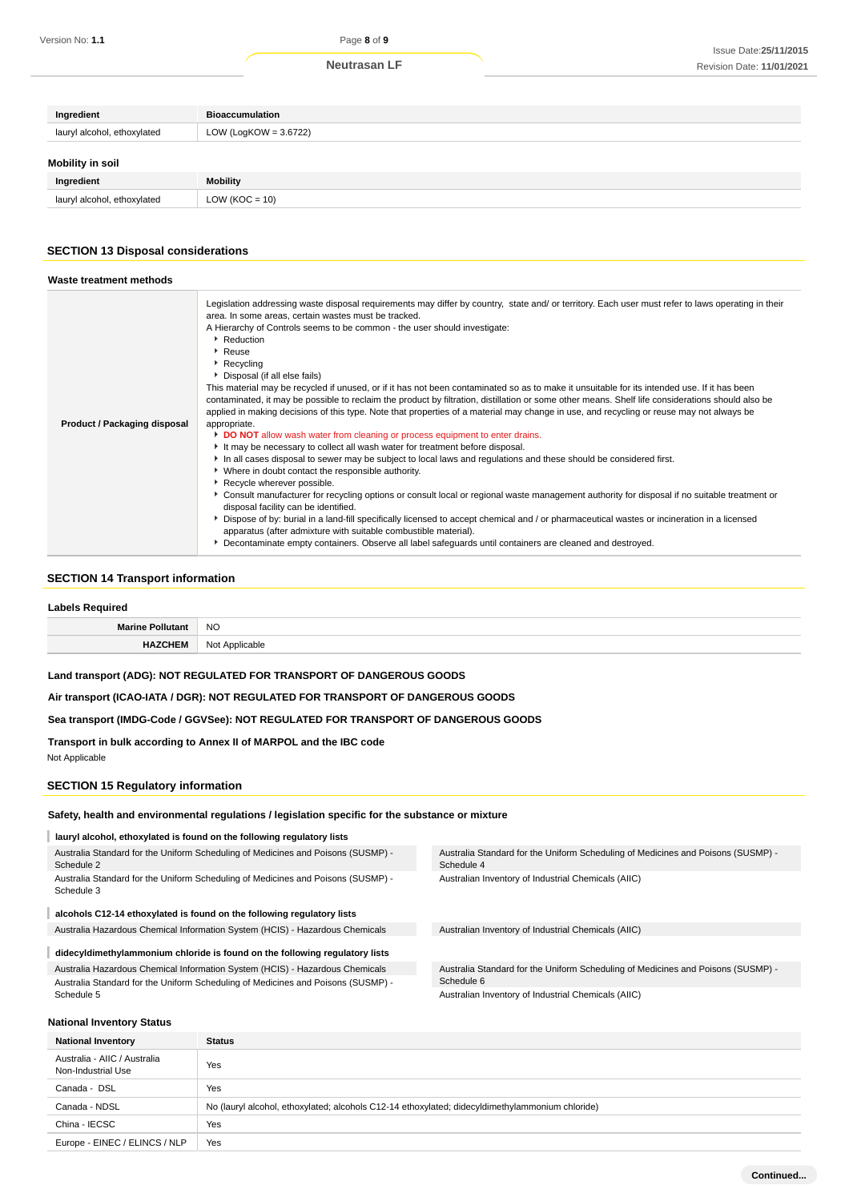# **Ingredient Bioaccumulation** lauryl alcohol, ethoxylated LOW (LogKOW = 3.6722) **Mobility in soil**

| Ingredient                         | <b>Mobility</b>                                                   |
|------------------------------------|-------------------------------------------------------------------|
| ethoxylated<br>ايديرها<br>alcohol. | 10)<br>=<br>'NU<br>∽<br>$\sim$ $\sim$ $\sim$ $\sim$ $\sim$ $\sim$ |

# **SECTION 13 Disposal considerations**

| Waste treatment methods             |                                                                                                                                                                                                                                                                                                                                                                                                                                                                                                                                                                                                                                                                                                                                                                                                                                                                                                                                                                                                                                                                                                                                                                                                                                                                                                                                                                                                                                                                                                                                                                                                                                                                                                                                      |
|-------------------------------------|--------------------------------------------------------------------------------------------------------------------------------------------------------------------------------------------------------------------------------------------------------------------------------------------------------------------------------------------------------------------------------------------------------------------------------------------------------------------------------------------------------------------------------------------------------------------------------------------------------------------------------------------------------------------------------------------------------------------------------------------------------------------------------------------------------------------------------------------------------------------------------------------------------------------------------------------------------------------------------------------------------------------------------------------------------------------------------------------------------------------------------------------------------------------------------------------------------------------------------------------------------------------------------------------------------------------------------------------------------------------------------------------------------------------------------------------------------------------------------------------------------------------------------------------------------------------------------------------------------------------------------------------------------------------------------------------------------------------------------------|
| <b>Product / Packaging disposal</b> | Legislation addressing waste disposal requirements may differ by country, state and/ or territory. Each user must refer to laws operating in their<br>area. In some areas, certain wastes must be tracked.<br>A Hierarchy of Controls seems to be common - the user should investigate:<br>Reduction<br>$\cdot$ Reuse<br>Recycling<br>Disposal (if all else fails)<br>This material may be recycled if unused, or if it has not been contaminated so as to make it unsuitable for its intended use. If it has been<br>contaminated, it may be possible to reclaim the product by filtration, distillation or some other means. Shelf life considerations should also be<br>applied in making decisions of this type. Note that properties of a material may change in use, and recycling or reuse may not always be<br>appropriate.<br>DO NOT allow wash water from cleaning or process equipment to enter drains.<br>It may be necessary to collect all wash water for treatment before disposal.<br>In all cases disposal to sewer may be subject to local laws and regulations and these should be considered first.<br>• Where in doubt contact the responsible authority.<br>Recycle wherever possible.<br>▶ Consult manufacturer for recycling options or consult local or regional waste management authority for disposal if no suitable treatment or<br>disposal facility can be identified.<br>▶ Dispose of by: burial in a land-fill specifically licensed to accept chemical and / or pharmaceutical wastes or incineration in a licensed<br>apparatus (after admixture with suitable combustible material).<br>Decontaminate empty containers. Observe all label safeguards until containers are cleaned and destroyed. |

#### **SECTION 14 Transport information**

| Labels Required         |                |  |
|-------------------------|----------------|--|
| <b>Marine Pollutant</b> | <b>NO</b>      |  |
| <b>HAZCHEM</b>          | Not Applicable |  |

#### **Land transport (ADG): NOT REGULATED FOR TRANSPORT OF DANGEROUS GOODS**

**Air transport (ICAO-IATA / DGR): NOT REGULATED FOR TRANSPORT OF DANGEROUS GOODS**

#### **Sea transport (IMDG-Code / GGVSee): NOT REGULATED FOR TRANSPORT OF DANGEROUS GOODS**

**Transport in bulk according to Annex II of MARPOL and the IBC code**

Not Applicable

Schedule 2

Schedule 3

#### **SECTION 15 Regulatory information**

#### **Safety, health and environmental regulations / legislation specific for the substance or mixture**

**lauryl alcohol, ethoxylated is found on the following regulatory lists**

Australia Standard for the Uniform Scheduling of Medicines and Poisons (SUSMP) - Schedule 4 Australian Inventory of Industrial Chemicals (AIIC)

**alcohols C12-14 ethoxylated is found on the following regulatory lists**

Australia Hazardous Chemical Information System (HCIS) - Hazardous Chemicals Australian Inventory of Industrial Chemicals (AIIC)

Australia Standard for the Uniform Scheduling of Medicines and Poisons (SUSMP) -

Australia Standard for the Uniform Scheduling of Medicines and Poisons (SUSMP) -

**didecyldimethylammonium chloride is found on the following regulatory lists** I Australia Hazardous Chemical Information System (HCIS) - Hazardous Chemicals Australia Standard for the Uniform Scheduling of Medicines and Poisons (SUSMP) - Schedule 5

Australia Standard for the Uniform Scheduling of Medicines and Poisons (SUSMP) - Schedule 6 Australian Inventory of Industrial Chemicals (AIIC)

#### **National Inventory Status**

| <b>National Inventory</b>                          | <b>Status</b>                                                                                   |
|----------------------------------------------------|-------------------------------------------------------------------------------------------------|
| Australia - AIIC / Australia<br>Non-Industrial Use | Yes                                                                                             |
| Canada - DSL                                       | Yes                                                                                             |
| Canada - NDSL                                      | No (lauryl alcohol, ethoxylated; alcohols C12-14 ethoxylated; didecyldimethylammonium chloride) |
| China - IECSC                                      | Yes                                                                                             |
| Europe - EINEC / ELINCS / NLP                      | Yes                                                                                             |